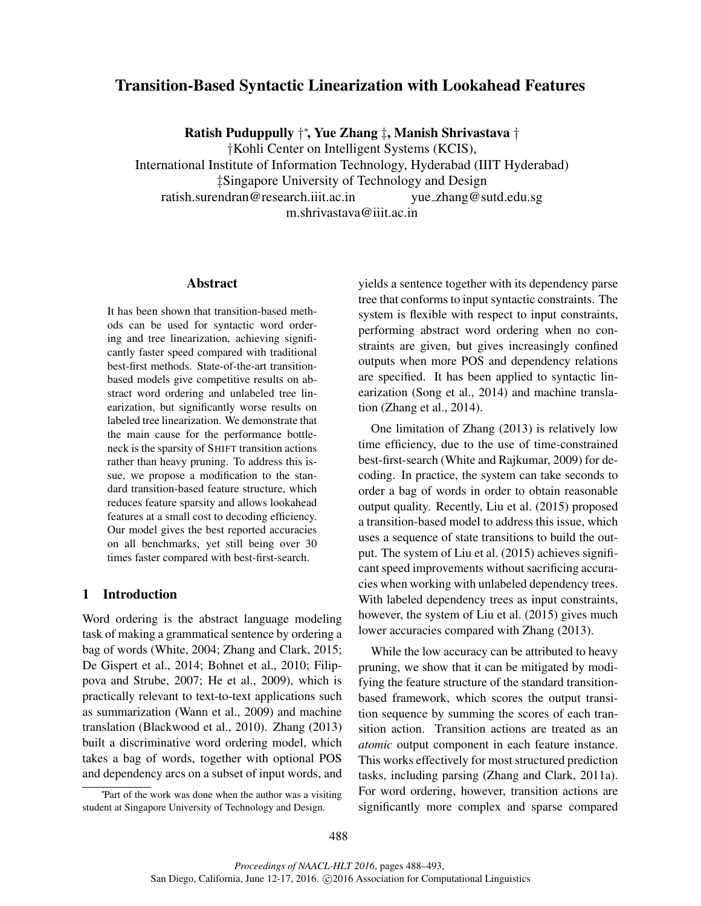# Transition-Based Syntactic Linearization with Lookahead Features

Ratish Puduppully † ∗ , Yue Zhang ‡, Manish Shrivastava †

†Kohli Center on Intelligent Systems (KCIS),

International Institute of Information Technology, Hyderabad (IIIT Hyderabad) ‡Singapore University of Technology and Design

ratish.surendran@research.iiit.ac.in yue zhang@sutd.edu.sg

m.shrivastava@iiit.ac.in

#### Abstract

It has been shown that transition-based methods can be used for syntactic word ordering and tree linearization, achieving significantly faster speed compared with traditional best-first methods. State-of-the-art transitionbased models give competitive results on abstract word ordering and unlabeled tree linearization, but significantly worse results on labeled tree linearization. We demonstrate that the main cause for the performance bottleneck is the sparsity of SHIFT transition actions rather than heavy pruning. To address this issue, we propose a modification to the standard transition-based feature structure, which reduces feature sparsity and allows lookahead features at a small cost to decoding efficiency. Our model gives the best reported accuracies on all benchmarks, yet still being over 30 times faster compared with best-first-search.

# 1 Introduction

Word ordering is the abstract language modeling task of making a grammatical sentence by ordering a bag of words (White, 2004; Zhang and Clark, 2015; De Gispert et al., 2014; Bohnet et al., 2010; Filippova and Strube, 2007; He et al., 2009), which is practically relevant to text-to-text applications such as summarization (Wann et al., 2009) and machine translation (Blackwood et al., 2010). Zhang (2013) built a discriminative word ordering model, which takes a bag of words, together with optional POS and dependency arcs on a subset of input words, and yields a sentence together with its dependency parse tree that conforms to input syntactic constraints. The system is flexible with respect to input constraints, performing abstract word ordering when no constraints are given, but gives increasingly confined outputs when more POS and dependency relations are specified. It has been applied to syntactic linearization (Song et al., 2014) and machine translation (Zhang et al., 2014).

One limitation of Zhang (2013) is relatively low time efficiency, due to the use of time-constrained best-first-search (White and Rajkumar, 2009) for decoding. In practice, the system can take seconds to order a bag of words in order to obtain reasonable output quality. Recently, Liu et al. (2015) proposed a transition-based model to address this issue, which uses a sequence of state transitions to build the output. The system of Liu et al. (2015) achieves significant speed improvements without sacrificing accuracies when working with unlabeled dependency trees. With labeled dependency trees as input constraints, however, the system of Liu et al. (2015) gives much lower accuracies compared with Zhang (2013).

While the low accuracy can be attributed to heavy pruning, we show that it can be mitigated by modifying the feature structure of the standard transitionbased framework, which scores the output transition sequence by summing the scores of each transition action. Transition actions are treated as an *atomic* output component in each feature instance. This works effectively for most structured prediction tasks, including parsing (Zhang and Clark, 2011a). For word ordering, however, transition actions are significantly more complex and sparse compared

<sup>∗</sup> Part of the work was done when the author was a visiting student at Singapore University of Technology and Design.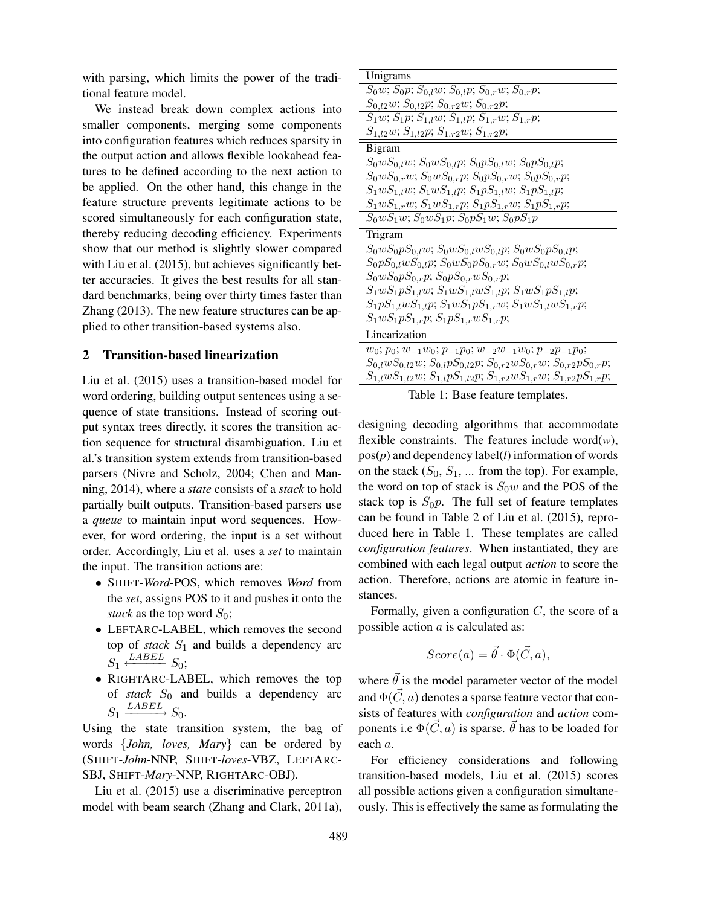with parsing, which limits the power of the traditional feature model.

We instead break down complex actions into smaller components, merging some components into configuration features which reduces sparsity in the output action and allows flexible lookahead features to be defined according to the next action to be applied. On the other hand, this change in the feature structure prevents legitimate actions to be scored simultaneously for each configuration state, thereby reducing decoding efficiency. Experiments show that our method is slightly slower compared with Liu et al. (2015), but achieves significantly better accuracies. It gives the best results for all standard benchmarks, being over thirty times faster than Zhang (2013). The new feature structures can be applied to other transition-based systems also.

# 2 Transition-based linearization

Liu et al. (2015) uses a transition-based model for word ordering, building output sentences using a sequence of state transitions. Instead of scoring output syntax trees directly, it scores the transition action sequence for structural disambiguation. Liu et al.'s transition system extends from transition-based parsers (Nivre and Scholz, 2004; Chen and Manning, 2014), where a *state* consists of a *stack* to hold partially built outputs. Transition-based parsers use a *queue* to maintain input word sequences. However, for word ordering, the input is a set without order. Accordingly, Liu et al. uses a *set* to maintain the input. The transition actions are:

- SHIFT-*Word*-POS, which removes *Word* from the *set*, assigns POS to it and pushes it onto the *stack* as the top word  $S_0$ ;
- LEFTARC-LABEL, which removes the second top of *stack*  $S_1$  and builds a dependency arc  $S_1 \xleftarrow{LABEL} S_0;$
- RIGHTARC-LABEL, which removes the top of *stack*  $S_0$  and builds a dependency arc  $S_1 \xrightarrow{LABEL} S_0.$

Using the state transition system, the bag of words {*John, loves, Mary*} can be ordered by (SHIFT-*John*-NNP, SHIFT-*loves*-VBZ, LEFTARC-SBJ, SHIFT-*Mary*-NNP, RIGHTARC-OBJ).

Liu et al. (2015) use a discriminative perceptron model with beam search (Zhang and Clark, 2011a),

| Unigrams                                                                            |
|-------------------------------------------------------------------------------------|
| $S_0w$ ; $S_0p$ ; $S_{0,l}w$ ; $S_{0,l}p$ ; $S_{0,r}w$ ; $S_{0,r}p$ ;               |
| $S_{0,l2}w; S_{0,l2}p; S_{0,r2}w; S_{0,r2}p;$                                       |
| $S_1w$ ; $S_1p$ ; $S_{1,l}w$ ; $S_{1,l}p$ ; $S_{1,r}w$ ; $S_{1,r}p$ ;               |
| $S_{1,l2}w; S_{1,l2}p; S_{1,r2}w; S_{1,r2}p;$                                       |
| Bigram                                                                              |
| $S_0 w S_{0,l} w$ , $S_0 w S_{0,l} p$ , $S_0 p S_{0,l} w$ , $S_0 p S_{0,l} p$ ;     |
| $S_0 w S_{0,r} w$ ; $S_0 w S_{0,r} p$ ; $S_0 p S_{0,r} w$ ; $S_0 p S_{0,r} p$ ;     |
| $S_1 w S_{1,l} w$ ; $S_1 w S_{1,l} p$ ; $S_1 p S_{1,l} w$ ; $S_1 p S_{1,l} p$ ;     |
| $S_1 w S_{1,r} w$ ; $S_1 w S_{1,r} p$ ; $S_1 p S_{1,r} w$ ; $S_1 p S_{1,r} p$ ;     |
| $S_0 w S_1 w$ ; $S_0 w S_1 p$ ; $S_0 p S_1 w$ ; $S_0 p S_1 p$                       |
| Trigram                                                                             |
| $S_0 w S_0 p S_{0,l} w$ ; $S_0 w S_{0,l} w S_{0,l} p$ ; $S_0 w S_0 p S_{0,l} p$ ;   |
| $S_0 pS_{0,l} wS_{0,l} p; S_0 wS_0 pS_{0,r} w; S_0 wS_{0,l} wS_{0,r} p;$            |
| $S_0 w S_0 p S_{0,r} p; S_0 p S_{0,r} w S_{0,r} p;$                                 |
| $S_1 w S_1 p S_{1,l} w$ ; $S_1 w S_{1,l} w S_{1,l} p$ ; $S_1 w S_1 p S_{1,l} p$ ;   |
| $S_1 pS_{1,l} wS_{1,l} p; S_1 wS_1 pS_{1,r} w; S_1 wS_{1,l} wS_{1,r} p;$            |
| $S_1 w S_1 p S_{1,r} p; S_1 p S_{1,r} w S_{1,r} p;$                                 |
| Linearization                                                                       |
| $w_0$ ; $p_0$ ; $w_{-1}w_0$ ; $p_{-1}p_0$ ; $w_{-2}w_{-1}w_0$ ; $p_{-2}p_{-1}p_0$ ; |
| $S_{0,l}wS_{0,l2}w; S_{0,l}pS_{0,l2}p; S_{0,r2}wS_{0,r}w; S_{0,r2}pS_{0,r}p;$       |
| $S_{1,l}wS_{1,l2}w; S_{1,l}pS_{1,l2}p; S_{1,r2}wS_{1,r}w; S_{1,r2}pS_{1,r}p;$       |

Table 1: Base feature templates.

designing decoding algorithms that accommodate flexible constraints. The features include word $(w)$ , pos(*p*) and dependency label(*l*) information of words on the stack  $(S_0, S_1, \dots)$  from the top). For example, the word on top of stack is  $S_0w$  and the POS of the stack top is  $S_0p$ . The full set of feature templates can be found in Table 2 of Liu et al. (2015), reproduced here in Table 1. These templates are called *configuration features*. When instantiated, they are combined with each legal output *action* to score the action. Therefore, actions are atomic in feature instances.

Formally, given a configuration  $C$ , the score of a possible action  $a$  is calculated as:

$$
Score(a) = \vec{\theta} \cdot \Phi(\vec{C}, a),
$$

where  $\vec{\theta}$  is the model parameter vector of the model and  $\Phi(\vec{C}, a)$  denotes a sparse feature vector that consists of features with *configuration* and *action* components i.e  $\Phi(C, a)$  is sparse.  $\vec{\theta}$  has to be loaded for each a.

For efficiency considerations and following transition-based models, Liu et al. (2015) scores all possible actions given a configuration simultaneously. This is effectively the same as formulating the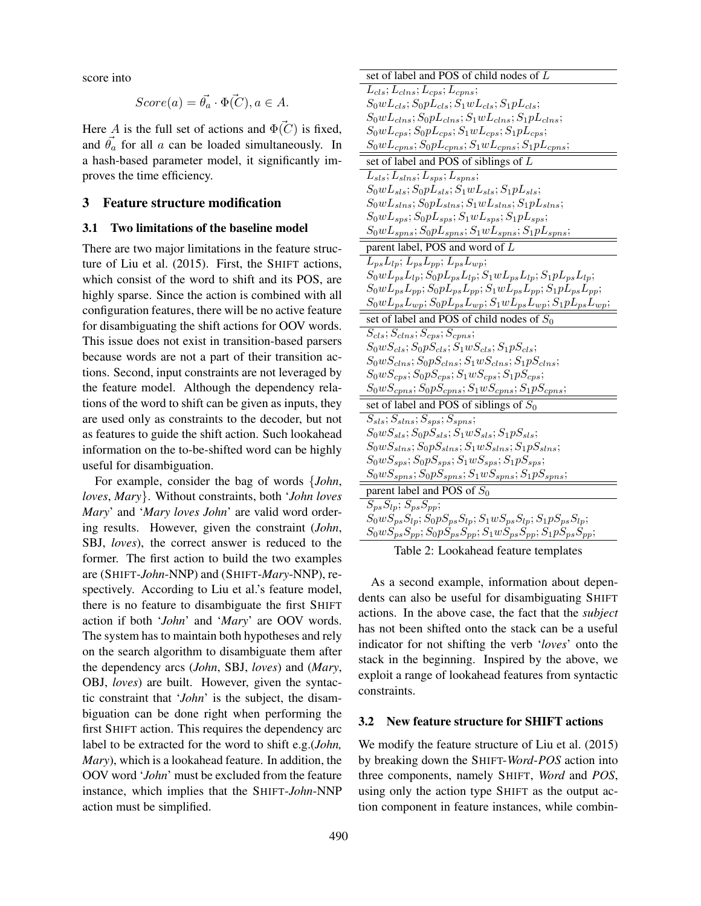score into

$$
Score(a) = \vec{\theta_a} \cdot \vec{\Phi(C)}, a \in A.
$$

Here A is the full set of actions and  $\Phi(\vec{C})$  is fixed, and  $\vec{\theta_a}$  for all a can be loaded simultaneously. In a hash-based parameter model, it significantly improves the time efficiency.

# 3 Feature structure modification

## 3.1 Two limitations of the baseline model

There are two major limitations in the feature structure of Liu et al. (2015). First, the SHIFT actions, which consist of the word to shift and its POS, are highly sparse. Since the action is combined with all configuration features, there will be no active feature for disambiguating the shift actions for OOV words. This issue does not exist in transition-based parsers because words are not a part of their transition actions. Second, input constraints are not leveraged by the feature model. Although the dependency relations of the word to shift can be given as inputs, they are used only as constraints to the decoder, but not as features to guide the shift action. Such lookahead information on the to-be-shifted word can be highly useful for disambiguation.

For example, consider the bag of words {*John*, *loves*, *Mary*}. Without constraints, both '*John loves Mary*' and '*Mary loves John*' are valid word ordering results. However, given the constraint (*John*, SBJ, *loves*), the correct answer is reduced to the former. The first action to build the two examples are (SHIFT-*John*-NNP) and (SHIFT-*Mary*-NNP), respectively. According to Liu et al.'s feature model, there is no feature to disambiguate the first SHIFT action if both '*John*' and '*Mary*' are OOV words. The system has to maintain both hypotheses and rely on the search algorithm to disambiguate them after the dependency arcs (*John*, SBJ, *loves*) and (*Mary*, OBJ, *loves*) are built. However, given the syntactic constraint that '*John*' is the subject, the disambiguation can be done right when performing the first SHIFT action. This requires the dependency arc label to be extracted for the word to shift e.g.(*John, Mary*), which is a lookahead feature. In addition, the OOV word '*John*' must be excluded from the feature instance, which implies that the SHIFT-*John*-NNP action must be simplified.

| set of label and POS of child nodes of L                                              |
|---------------------------------------------------------------------------------------|
| $L_{cls}; L_{cms}; L_{cps}; L_{cpns};$                                                |
| $S_0wL_{cls}; S_0pL_{cls}; S_1wL_{cls}; S_1pL_{cls};$                                 |
| $S_0wL_{clns}$ ; $S_0pL_{clns}$ ; $S_1wL_{clns}$ ; $S_1pL_{clns}$ ;                   |
| $S_0wL_{cps}; S_0pL_{cps}; S_1wL_{cps}; S_1pL_{cps};$                                 |
| $S_0wL_{cpns}; S_0pL_{cpns}; S_1wL_{cpns}; S_1pL_{cpns};$                             |
| set of label and POS of siblings of L                                                 |
| $L_{sls}; L_{slns}; L_{sps}; L_{spns};$                                               |
| $S_0wL_{sls}; S_0pL_{sls}; S_1wL_{sls}; S_1pL_{sls};$                                 |
| $S_0wL_{slns}; S_0pL_{slns}; S_1wL_{slns}; S_1pL_{slns};$                             |
| $S_0wL_{sps}; S_0pL_{sps}; S_1wL_{sps}; S_1pL_{sps};$                                 |
| $S_0wL_{spns}; S_0pL_{spns}; S_1wL_{spns}; S_1pL_{spns};$                             |
| parent label, POS and word of L                                                       |
| $L_{ps}L_{lp}; L_{ps}L_{pp}; L_{ps}L_{wp};$                                           |
| $S_0wL_{ps}L_{lp};S_0pL_{ps}L_{lp};S_1wL_{ps}L_{lp};S_1pL_{ps}L_{lp};$                |
| $S_0wL_{ps}L_{pp};S_0pL_{ps}L_{pp};S_1wL_{ps}L_{pp};S_1pL_{ps}L_{pp};$                |
| $S_0wL_{ps}L_{wp}; S_0pL_{ps}L_{wp}; S_1wL_{ps}L_{wp}; S_1pL_{ps}L_{wp};$             |
| set of label and POS of child nodes of $S_0$                                          |
| $S_{cls}; S_{clus}; S_{cps}; S_{cpns};$                                               |
| $S_0 w S_{cls}$ ; $S_0 p S_{cls}$ ; $S_1 w S_{cls}$ ; $S_1 p S_{cls}$ ;               |
| $S_0 w S_{clns}$ ; $S_0 p S_{clns}$ ; $S_1 w S_{clns}$ ; $S_1 p S_{clns}$ ;           |
| $S_0 w S_{cps}; S_0 p S_{cps}; S_1 w S_{cps}; S_1 p S_{cps};$                         |
| $S_0 w S_{cpns}$ ; $S_0 p S_{cpns}$ ; $S_1 w S_{cpns}$ ; $S_1 p S_{cpns}$ ;           |
| set of label and POS of siblings of $S_0$                                             |
| $S_{sls}; S_{slns}; S_{sps}; S_{spns};$                                               |
| $S_0 w S_{sls}$ ; $S_0 p S_{sls}$ ; $S_1 w S_{sls}$ ; $S_1 p S_{sls}$ ;               |
| $S_0 w S_{slns}$ ; $S_0 p S_{slns}$ ; $S_1 w S_{slns}$ ; $S_1 p S_{slns}$ ;           |
| $S_0 w S_{sps}$ ; $S_0 p S_{sps}$ ; $S_1 w S_{sps}$ ; $S_1 p S_{sps}$ ;               |
| $S_0 w S_{spns}; \\ S_0 p S_{spns}; \\ S_1 w S_{spns}; \\ S_1 p S_{spns};$            |
| parent label and POS of $S_0$                                                         |
| $S_{ps}S_{lp}; S_{ps}S_{pp};$                                                         |
| $S_0 w S_{ps} S_{lp}; S_0 p S_{ps} S_{lp}; S_1 w S_{ps} S_{lp}; S_1 p S_{ps} S_{lp};$ |
| $S_0 w S_{ps} S_{pp}; S_0 p S_{ps} S_{pp}; S_1 w S_{ps} S_{pp}; S_1 p S_{ps} S_{pp};$ |

Table 2: Lookahead feature templates

As a second example, information about dependents can also be useful for disambiguating SHIFT actions. In the above case, the fact that the *subject* has not been shifted onto the stack can be a useful indicator for not shifting the verb '*loves*' onto the stack in the beginning. Inspired by the above, we exploit a range of lookahead features from syntactic constraints.

#### 3.2 New feature structure for SHIFT actions

We modify the feature structure of Liu et al. (2015) by breaking down the SHIFT-*Word*-*POS* action into three components, namely SHIFT, *Word* and *POS*, using only the action type SHIFT as the output action component in feature instances, while combin-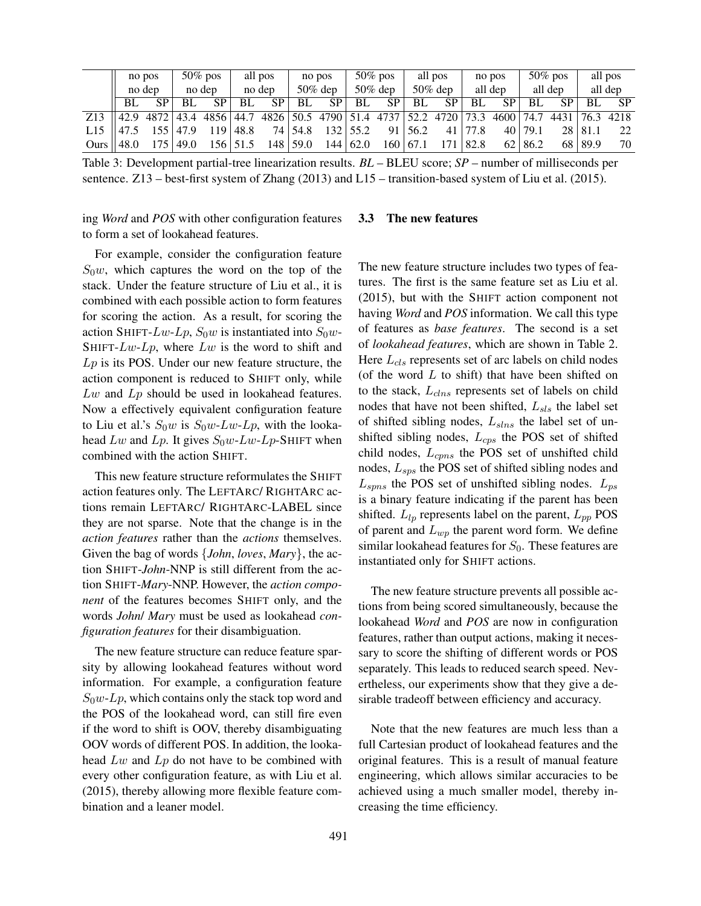|      |        | no pos    |        | $50\%$ pos |            | all pos        |            | no pos |            | $50\%$ pos |                 | all pos |         | no pos    |                | $50\%$ pos |         | all pos   |
|------|--------|-----------|--------|------------|------------|----------------|------------|--------|------------|------------|-----------------|---------|---------|-----------|----------------|------------|---------|-----------|
|      | no dep |           | no dep |            | no dep     |                | $50\%$ dep |        | $50\%$ dep |            | $50\%$ dep      |         | all dep |           | all dep        |            | all dep |           |
|      | BL.    | <b>SP</b> | BL.    | <b>SP</b>  | BL         | SP             | BL         | SP     | BL         | SP         | <b>BL</b>       | SP      | BL      | <b>SP</b> | <b>BL</b>      | SP.        | BL.     | <b>SP</b> |
| Z13  | 42.9   | 4872      | 43.4   | 4856       | 44.7       | 4826 50.5 4790 |            |        | 51.4       | 4737       | 52.2            | 4720    |         | 4600      | 74.7           | 4431       | 76.3    | 4218      |
| L15  | 47.5   |           | 47.9   | 19         | 48.8       |                | 74 54.8    | 132    | 55.2       | 91         | 56.2            | 41 I    |         |           | 40 79.1        |            | 28 81.1 | 22        |
| Ours | 48.0   | 175       | 49.0   |            | 156   51.5 | 148            | 59.0       | 144    | 62.0       |            | $160 \mid 67.1$ |         | 82.8    |           | $62 \mid 86.2$ |            | 68 89.9 | 70        |

Table 3: Development partial-tree linearization results. *BL* – BLEU score; *SP* – number of milliseconds per sentence. Z13 – best-first system of Zhang (2013) and L15 – transition-based system of Liu et al. (2015).

ing *Word* and *POS* with other configuration features to form a set of lookahead features.

For example, consider the configuration feature  $S_0w$ , which captures the word on the top of the stack. Under the feature structure of Liu et al., it is combined with each possible action to form features for scoring the action. As a result, for scoring the action SHIFT-Lw-Lp,  $S_0w$  is instantiated into  $S_0w$ -SHIFT- $Lw$ - $Lp$ , where  $Lw$  is the word to shift and  $L_p$  is its POS. Under our new feature structure, the action component is reduced to SHIFT only, while  $Lw$  and  $Lp$  should be used in lookahead features. Now a effectively equivalent configuration feature to Liu et al.'s  $S_0w$  is  $S_0w$ -Lw-Lp, with the lookahead Lw and Lp. It gives  $S_0w$ -Lw-Lp-SHIFT when combined with the action SHIFT.

This new feature structure reformulates the SHIFT action features only. The LEFTARC/ RIGHTARC actions remain LEFTARC/ RIGHTARC-LABEL since they are not sparse. Note that the change is in the *action features* rather than the *actions* themselves. Given the bag of words {*John*, *loves*, *Mary*}, the action SHIFT-*John*-NNP is still different from the action SHIFT-*Mary*-NNP. However, the *action component* of the features becomes SHIFT only, and the words *John*/ *Mary* must be used as lookahead *configuration features* for their disambiguation.

The new feature structure can reduce feature sparsity by allowing lookahead features without word information. For example, a configuration feature  $S_0w$ -Lp, which contains only the stack top word and the POS of the lookahead word, can still fire even if the word to shift is OOV, thereby disambiguating OOV words of different POS. In addition, the lookahead  $Lw$  and  $Lp$  do not have to be combined with every other configuration feature, as with Liu et al. (2015), thereby allowing more flexible feature combination and a leaner model.

#### 3.3 The new features

The new feature structure includes two types of features. The first is the same feature set as Liu et al. (2015), but with the SHIFT action component not having *Word* and *POS* information. We call this type of features as *base features*. The second is a set of *lookahead features*, which are shown in Table 2. Here  $L_{cls}$  represents set of arc labels on child nodes (of the word  $L$  to shift) that have been shifted on to the stack,  $L_{\text{clus}}$  represents set of labels on child nodes that have not been shifted,  $L_{sls}$  the label set of shifted sibling nodes,  $L_{slns}$  the label set of unshifted sibling nodes,  $L_{cps}$  the POS set of shifted child nodes,  $L_{cpns}$  the POS set of unshifted child nodes,  $L_{sps}$  the POS set of shifted sibling nodes and  $L_{spns}$  the POS set of unshifted sibling nodes.  $L_{ps}$ is a binary feature indicating if the parent has been shifted.  $L_{lp}$  represents label on the parent,  $L_{pp}$  POS of parent and  $L_{wp}$  the parent word form. We define similar lookahead features for  $S_0$ . These features are instantiated only for SHIFT actions.

The new feature structure prevents all possible actions from being scored simultaneously, because the lookahead *Word* and *POS* are now in configuration features, rather than output actions, making it necessary to score the shifting of different words or POS separately. This leads to reduced search speed. Nevertheless, our experiments show that they give a desirable tradeoff between efficiency and accuracy.

Note that the new features are much less than a full Cartesian product of lookahead features and the original features. This is a result of manual feature engineering, which allows similar accuracies to be achieved using a much smaller model, thereby increasing the time efficiency.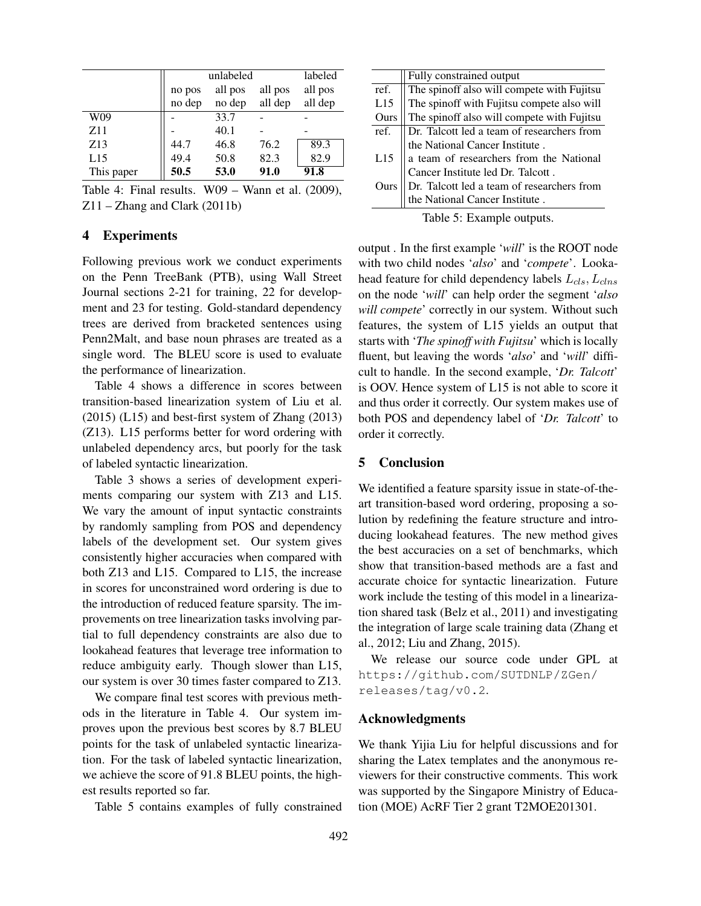|            | unlabeled | labeled |         |         |
|------------|-----------|---------|---------|---------|
|            | no pos    | all pos | all pos | all pos |
|            | no dep    | no dep  | all dep | all dep |
| W09        |           | 33.7    |         |         |
| Z11        |           | 40.1    |         |         |
| Z13        | 44.7      | 46.8    | 76.2    | 89.3    |
| L15        | 49.4      | 50.8    | 82.3    | 82.9    |
| This paper | 50.5      | 53.0    | 91.0    | 91.8    |

Table 4: Final results. W09 – Wann et al. (2009), Z11 – Zhang and Clark (2011b)

# 4 Experiments

Following previous work we conduct experiments on the Penn TreeBank (PTB), using Wall Street Journal sections 2-21 for training, 22 for development and 23 for testing. Gold-standard dependency trees are derived from bracketed sentences using Penn2Malt, and base noun phrases are treated as a single word. The BLEU score is used to evaluate the performance of linearization.

Table 4 shows a difference in scores between transition-based linearization system of Liu et al. (2015) (L15) and best-first system of Zhang (2013) (Z13). L15 performs better for word ordering with unlabeled dependency arcs, but poorly for the task of labeled syntactic linearization.

Table 3 shows a series of development experiments comparing our system with Z13 and L15. We vary the amount of input syntactic constraints by randomly sampling from POS and dependency labels of the development set. Our system gives consistently higher accuracies when compared with both Z13 and L15. Compared to L15, the increase in scores for unconstrained word ordering is due to the introduction of reduced feature sparsity. The improvements on tree linearization tasks involving partial to full dependency constraints are also due to lookahead features that leverage tree information to reduce ambiguity early. Though slower than L15, our system is over 30 times faster compared to Z13.

We compare final test scores with previous methods in the literature in Table 4. Our system improves upon the previous best scores by 8.7 BLEU points for the task of unlabeled syntactic linearization. For the task of labeled syntactic linearization, we achieve the score of 91.8 BLEU points, the highest results reported so far.

Table 5 contains examples of fully constrained

|      | Fully constrained output                                                                 |
|------|------------------------------------------------------------------------------------------|
| ref. |                                                                                          |
| L15  | The spinoff also will compete with Fujitsu<br>The spinoff with Fujitsu compete also will |
| Ours | The spinoff also will compete with Fujitsu                                               |
| ref. |                                                                                          |
|      | Dr. Talcott led a team of researchers from<br>the National Cancer Institute .            |
| L15  |                                                                                          |
|      | a team of researchers from the National<br>Cancer Institute led Dr. Talcott.             |
| Ours |                                                                                          |
|      | Dr. Talcott led a team of researchers from<br>the National Cancer Institute .            |
|      |                                                                                          |

Table 5: Example outputs.

output . In the first example '*will*' is the ROOT node with two child nodes '*also*' and '*compete*'. Lookahead feature for child dependency labels  $L_{cls}$ ,  $L_{clas}$ on the node '*will*' can help order the segment '*also will compete*' correctly in our system. Without such features, the system of L15 yields an output that starts with '*The spinoff with Fujitsu*' which is locally fluent, but leaving the words '*also*' and '*will*' difficult to handle. In the second example, '*Dr. Talcott*' is OOV. Hence system of L15 is not able to score it and thus order it correctly. Our system makes use of both POS and dependency label of '*Dr. Talcott*' to order it correctly.

## 5 Conclusion

We identified a feature sparsity issue in state-of-theart transition-based word ordering, proposing a solution by redefining the feature structure and introducing lookahead features. The new method gives the best accuracies on a set of benchmarks, which show that transition-based methods are a fast and accurate choice for syntactic linearization. Future work include the testing of this model in a linearization shared task (Belz et al., 2011) and investigating the integration of large scale training data (Zhang et al., 2012; Liu and Zhang, 2015).

We release our source code under GPL at https://github.com/SUTDNLP/ZGen/ releases/tag/v0.2.

## Acknowledgments

We thank Yijia Liu for helpful discussions and for sharing the Latex templates and the anonymous reviewers for their constructive comments. This work was supported by the Singapore Ministry of Education (MOE) AcRF Tier 2 grant T2MOE201301.